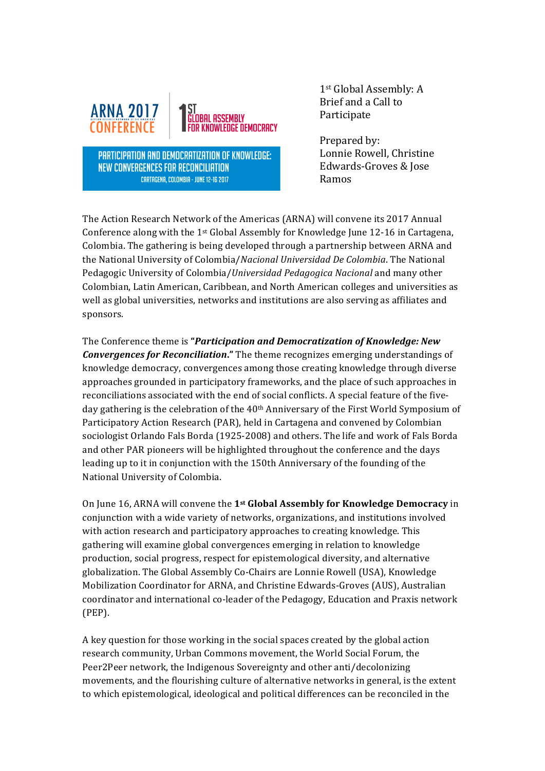

**PARTICIPATION AND DEMOCRATIZATION OF KNOWLEDGE:** NEW CONVERGENCES FOR RECONCILIATION **CARTAGENA, COLOMBIA - JUNE 12-16 2017** 

1st Global Assembly: A Brief and a Call to Participate

Prepared by: Lonnie Rowell, Christine Edwards-Groves & Jose Ramos

The Action Research Network of the Americas (ARNA) will convene its 2017 Annual Conference along with the  $1$ <sup>st</sup> Global Assembly for Knowledge June  $12-16$  in Cartagena, Colombia. The gathering is being developed through a partnership between ARNA and the National University of Colombia/*Nacional Universidad De Colombia*. The National Pedagogic University of Colombia/*Universidad Pedagogica Nacional* and many other Colombian, Latin American, Caribbean, and North American colleges and universities as well as global universities, networks and institutions are also serving as affiliates and sponsors. 

The Conference theme is **"Participation and Democratization of Knowledge:** New **Convergences for Reconciliation."** The theme recognizes emerging understandings of knowledge democracy, convergences among those creating knowledge through diverse approaches grounded in participatory frameworks, and the place of such approaches in reconciliations associated with the end of social conflicts. A special feature of the fiveday gathering is the celebration of the 40<sup>th</sup> Anniversary of the First World Symposium of Participatory Action Research (PAR), held in Cartagena and convened by Colombian sociologist Orlando Fals Borda (1925-2008) and others. The life and work of Fals Borda and other PAR pioneers will be highlighted throughout the conference and the days leading up to it in conjunction with the 150th Anniversary of the founding of the National University of Colombia.

On June 16, ARNA will convene the 1<sup>st</sup> Global Assembly for Knowledge Democracy in conjunction with a wide variety of networks, organizations, and institutions involved with action research and participatory approaches to creating knowledge. This gathering will examine global convergences emerging in relation to knowledge production, social progress, respect for epistemological diversity, and alternative globalization. The Global Assembly Co-Chairs are Lonnie Rowell (USA), Knowledge Mobilization Coordinator for ARNA, and Christine Edwards-Groves (AUS), Australian coordinator and international co-leader of the Pedagogy, Education and Praxis network (PEP).

A key question for those working in the social spaces created by the global action research community, Urban Commons movement, the World Social Forum, the Peer2Peer network, the Indigenous Sovereignty and other anti/decolonizing movements, and the flourishing culture of alternative networks in general, is the extent to which epistemological, ideological and political differences can be reconciled in the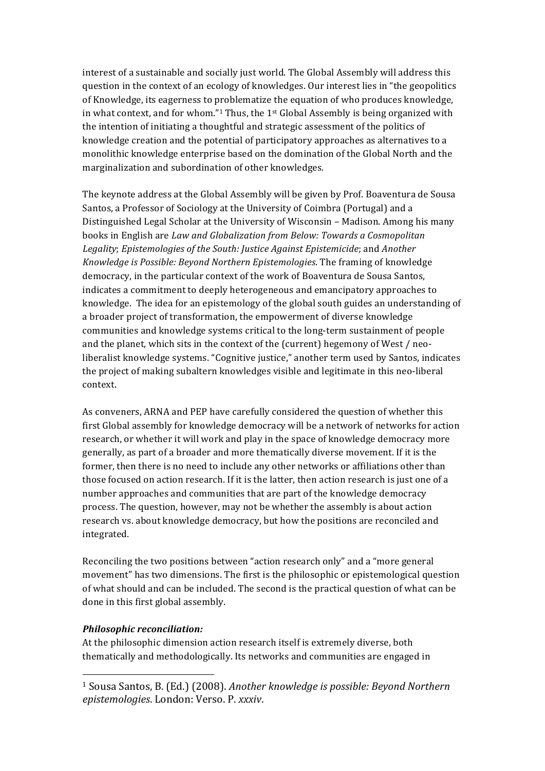interest of a sustainable and socially just world. The Global Assembly will address this question in the context of an ecology of knowledges. Our interest lies in "the geopolitics of Knowledge, its eagerness to problematize the equation of who produces knowledge, in what context, and for whom."<sup>1</sup> Thus, the 1<sup>st</sup> Global Assembly is being organized with the intention of initiating a thoughtful and strategic assessment of the politics of knowledge creation and the potential of participatory approaches as alternatives to a monolithic knowledge enterprise based on the domination of the Global North and the marginalization and subordination of other knowledges.

The keynote address at the Global Assembly will be given by Prof. Boaventura de Sousa Santos, a Professor of Sociology at the University of Coimbra (Portugal) and a Distinguished Legal Scholar at the University of Wisconsin - Madison. Among his many books in English are *Law and Globalization from Below: Towards a Cosmopolitan* Legality; *Epistemologies of the South: Justice Against Epistemicide*; and *Another Knowledge is Possible: Beyond Northern Epistemologies*. The framing of knowledge democracy, in the particular context of the work of Boaventura de Sousa Santos, indicates a commitment to deeply heterogeneous and emancipatory approaches to knowledge. The idea for an epistemology of the global south guides an understanding of a broader project of transformation, the empowerment of diverse knowledge communities and knowledge systems critical to the long-term sustainment of people and the planet, which sits in the context of the (current) hegemony of West / neoliberalist knowledge systems. "Cognitive justice," another term used by Santos, indicates the project of making subaltern knowledges visible and legitimate in this neo-liberal context. 

As conveners, ARNA and PEP have carefully considered the question of whether this first Global assembly for knowledge democracy will be a network of networks for action research, or whether it will work and play in the space of knowledge democracy more generally, as part of a broader and more thematically diverse movement. If it is the former, then there is no need to include any other networks or affiliations other than those focused on action research. If it is the latter, then action research is just one of a number approaches and communities that are part of the knowledge democracy process. The question, however, may not be whether the assembly is about action research vs. about knowledge democracy, but how the positions are reconciled and integrated. 

Reconciling the two positions between "action research only" and a "more general movement" has two dimensions. The first is the philosophic or epistemological question of what should and can be included. The second is the practical question of what can be done in this first global assembly.

## *Philosophic reconciliation:*

 

At the philosophic dimension action research itself is extremely diverse, both thematically and methodologically. Its networks and communities are engaged in

<sup>&</sup>lt;sup>1</sup> Sousa Santos, B. (Ed.) (2008). *Another knowledge is possible: Beyond Northern epistemologies*. London: Verso. P. *xxxiv*.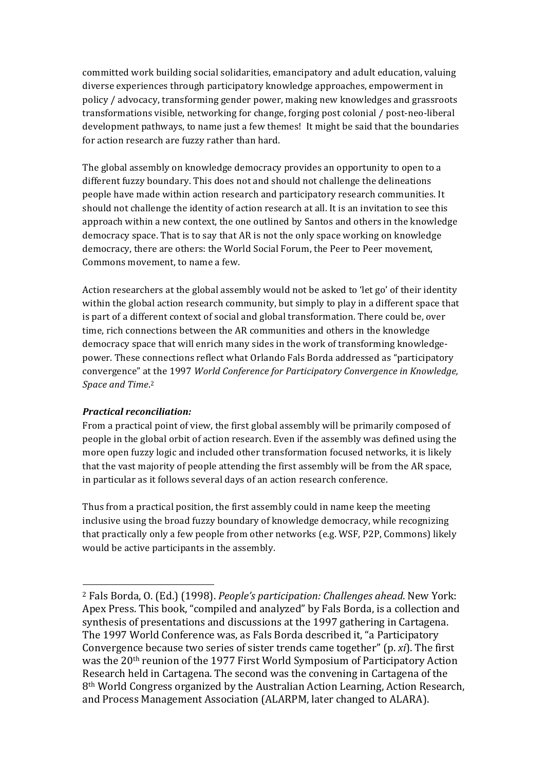committed work building social solidarities, emancipatory and adult education, valuing diverse experiences through participatory knowledge approaches, empowerment in policy / advocacy, transforming gender power, making new knowledges and grassroots transformations visible, networking for change, forging post colonial / post-neo-liberal development pathways, to name just a few themes! It might be said that the boundaries for action research are fuzzy rather than hard.

The global assembly on knowledge democracy provides an opportunity to open to a different fuzzy boundary. This does not and should not challenge the delineations people have made within action research and participatory research communities. It should not challenge the identity of action research at all. It is an invitation to see this approach within a new context, the one outlined by Santos and others in the knowledge democracy space. That is to say that AR is not the only space working on knowledge democracy, there are others: the World Social Forum, the Peer to Peer movement, Commons movement, to name a few.

Action researchers at the global assembly would not be asked to 'let go' of their identity within the global action research community, but simply to play in a different space that is part of a different context of social and global transformation. There could be, over time, rich connections between the AR communities and others in the knowledge democracy space that will enrich many sides in the work of transforming knowledgepower. These connections reflect what Orlando Fals Borda addressed as "participatory" convergence" at the 1997 *World Conference for Participatory Convergence in Knowledge,* Space and Time.<sup>2</sup>

## **Practical reconciliation:**

 

From a practical point of view, the first global assembly will be primarily composed of people in the global orbit of action research. Even if the assembly was defined using the more open fuzzy logic and included other transformation focused networks, it is likely that the vast majority of people attending the first assembly will be from the AR space, in particular as it follows several days of an action research conference.

Thus from a practical position, the first assembly could in name keep the meeting inclusive using the broad fuzzy boundary of knowledge democracy, while recognizing that practically only a few people from other networks (e.g. WSF, P2P, Commons) likely would be active participants in the assembly.

<sup>&</sup>lt;sup>2</sup> Fals Borda, O. (Ed.) (1998). *People's participation: Challenges ahead*. New York: Apex Press. This book, "compiled and analyzed" by Fals Borda, is a collection and synthesis of presentations and discussions at the 1997 gathering in Cartagena. The 1997 World Conference was, as Fals Borda described it, "a Participatory Convergence because two series of sister trends came together" (p. *xi*). The first was the 20<sup>th</sup> reunion of the 1977 First World Symposium of Participatory Action Research held in Cartagena. The second was the convening in Cartagena of the 8<sup>th</sup> World Congress organized by the Australian Action Learning, Action Research, and Process Management Association (ALARPM, later changed to ALARA).